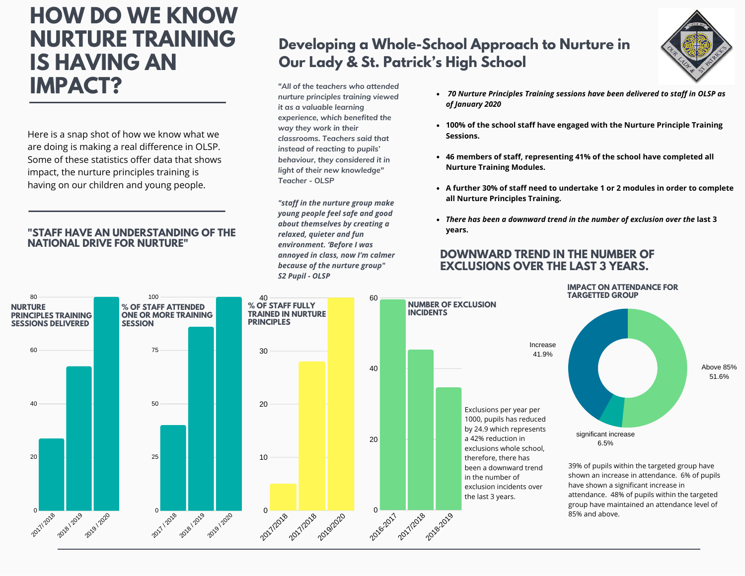# **HOW DO WE KNOW NURTURE TRAINING IS HAVING AN IMPACT?**

Here is a snap shot of how we know what we are doing is making a real difference in OLSP. Some of these statistics offer data that shows impact, the nurture principles training is having on our children and young people.

#### **"STAFF HAVE AN UNDERSTANDING OF THE NATIONAL DRIVE FOR NURTURE"**

### **Developing a Whole-School Approach to Nurture in Our Lady & St. Patrick's High School**

*"All of the teachers who attended nurture principles training viewed it as a valuable learning experience, which benefited the way they work in their classrooms. Teachers said that instead of reacting to pupils' behaviour, they considered it in light of their new knowledge" Teacher - OLSP*

*"staff in the nurture group make young people feel safe and good about themselves by creating a relaxed, quieter and fun environment. 'Before I was annoyed in class, now I'm calmer because of the nurture group" S2 Pupil - OLSP*

- *70 Nurture Principles Training sessions have been delivered to staff in OLSP as of January 2020*
- **100% of the school staff have engaged with the Nurture Principle Training Sessions.**
- **46 members of staff, representing 41% of the school have completed all Nurture Training Modules.**
- **A further 30% of staff need to undertake 1 or 2 modules in order to complete all Nurture Principles Training.**
- *There has been a downward trend in the number of exclusion over the* **last 3 years.**

### **DOWNWARD TREND IN THE NUMBER OF EXCLUSIONS OVER THE LAST 3 YEARS.**



Above 85% 51.6% significant increase 6.5%

> 39% of pupils within the targeted group have shown an increase in attendance. 6% of pupils have shown a significant increase in attendance. 48% of pupils within the targeted group have maintained an attendance level of 85% and above.

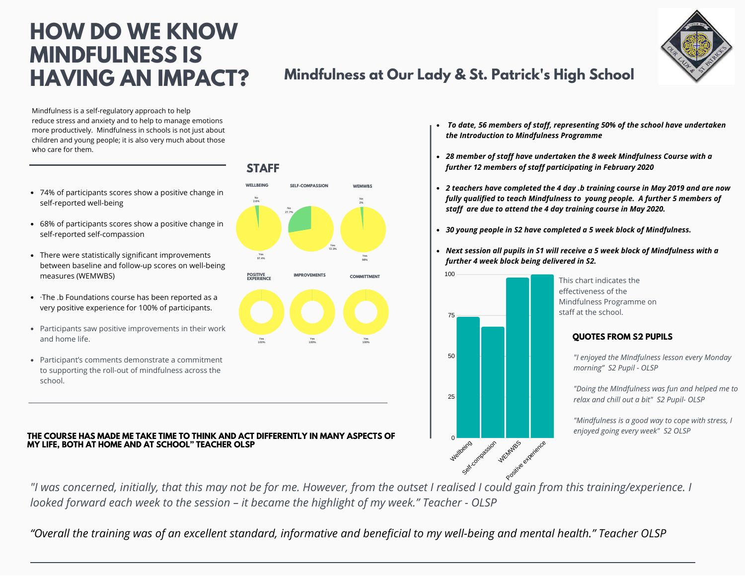# **HOW DO WE KNOW MINDFULNESS IS HAVING AN IMPACT?**

Mindfulness is a self-regulatory approach to help reduce stress and anxiety and to help to manage emotions more productively. Mindfulness in schools is not just about children and young people; it is also very much about those who care for them.

- 74% of participants scores show a positive change in self-reported well-being
- 68% of participants scores show a positive change in self-reported self-compassion
- There were statistically significant improvements between baseline and follow-up scores on well-being measures (WEMWBS)
- ·The .b Foundations course has been reported as a very positive experience for 100% of participants.
- Participants saw positive improvements in their work and home life.
- Participant's comments demonstrate a commitment to supporting the roll-out of mindfulness across the school.

#### THE COURSE HAS MADE ME TAKE TIME TO THINK AND ACT DIFFERENTLY IN MANY ASPECTS OF THE COURSE HAS MADE ME TAKE TIME TO THINK AND ACT DIFFERENTLY IN MANY ASPECTS OF **MY LIFE, BOTH AT HOME AND AT SCHOOL" TEACHER OLSP**

"I was concerned, initially, that this may not be for me. However, from the outset I realised I could gain from this training/experience. I *looked forward each week to the session – it became the highlight of my week." Teacher - OLSP*

"Overall the training was of an excellent standard, informative and beneficial to my well-being and mental health." Teacher OLSP

### **STAFF**



- *To date, 56 members of staff, representing 50% of the school have undertaken the Introduction to Mindfulness Programme*
- *28 member of staff have undertaken the 8 week Mindfulness Course with a further 12 members of staff participating in February 2020*
- *2 teachers have completed the 4 day .b training course in May 2019 and are now fully qualified to teach Mindfulness to young people. A further 5 members of staff are due to attend the 4 day training course in May 2020.*
- *30 young people in S2 have completed a 5 week block of Mindfulness.*
- *Next session all pupils in S1 will receive a 5 week block of Mindfulness with a further 4 week block being delivered in S2.*



**Mindfulness at Our Lady & St. Patrick's High School**

This chart indicates the effectiveness of the Mindfulness Programme on staff at the school.

#### **QUOTES FROM S2 PUPILS**

*"I enjoyed the MIndfulness lesson every Monday morning" S2 Pupil - OLSP*

*"Doing the MIndfulness was fun and helped me to relax and chill out a bit" S2 Pupil- OLSP*

*"Mindfulness is a good way to cope with stress, I*